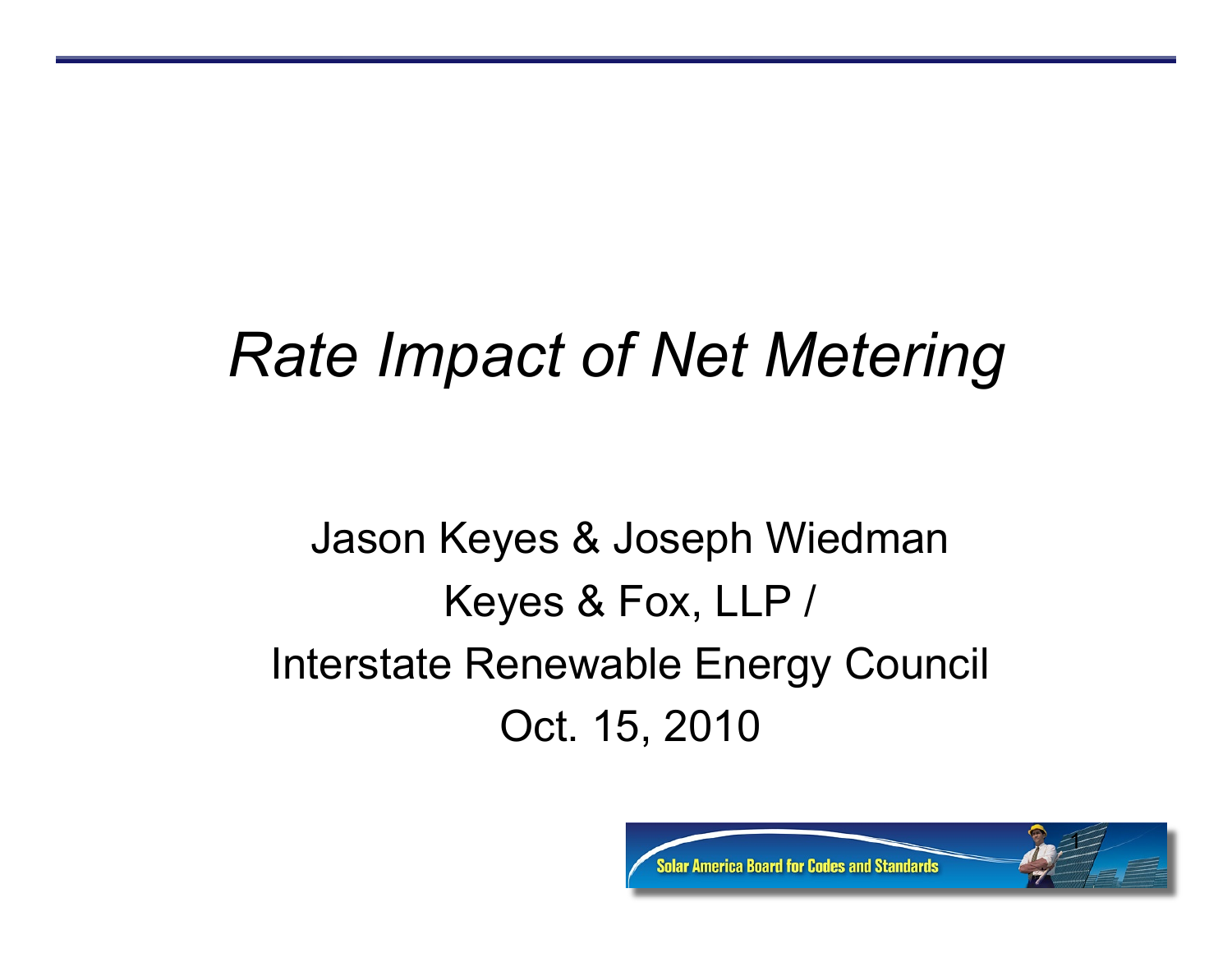## *Rate Impact of Net Metering*

#### Jason Keyes & Joseph Wiedman Keyes & Fox, LLP / Interstate Renewable Energy Council Oct. 15, 2010

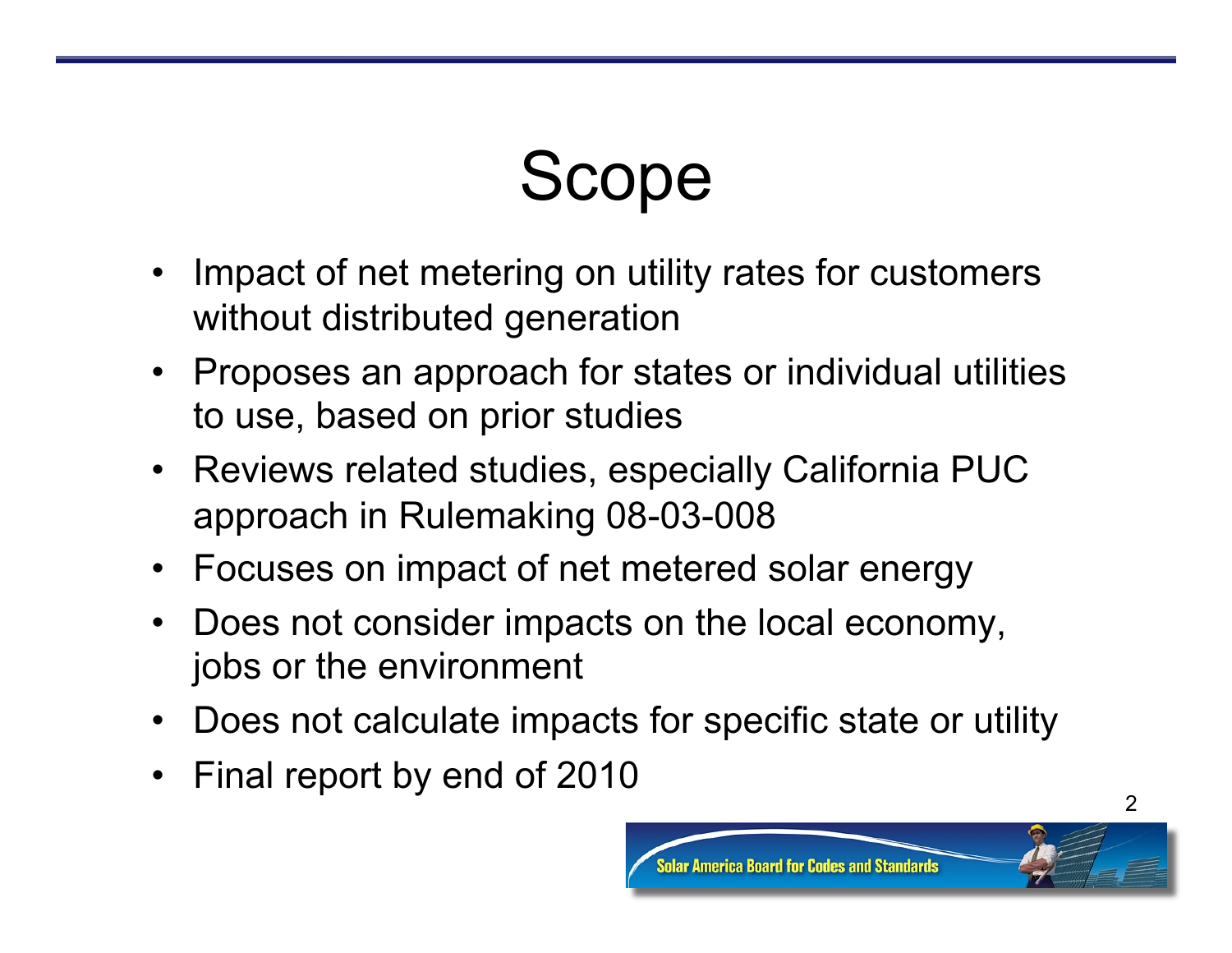# Scope

- Impact of net metering on utility rates for customers without distributed generation
- Proposes an approach for states or individual utilities to use, based on prior studies
- Reviews related studies, especially California PUC approach in Rulemaking 08-03-008
- Focuses on impact of net metered solar energy
- Does not consider impacts on the local economy, jobs or the environment
- Does not calculate impacts for specific state or utility
- Final report by end of 2010



2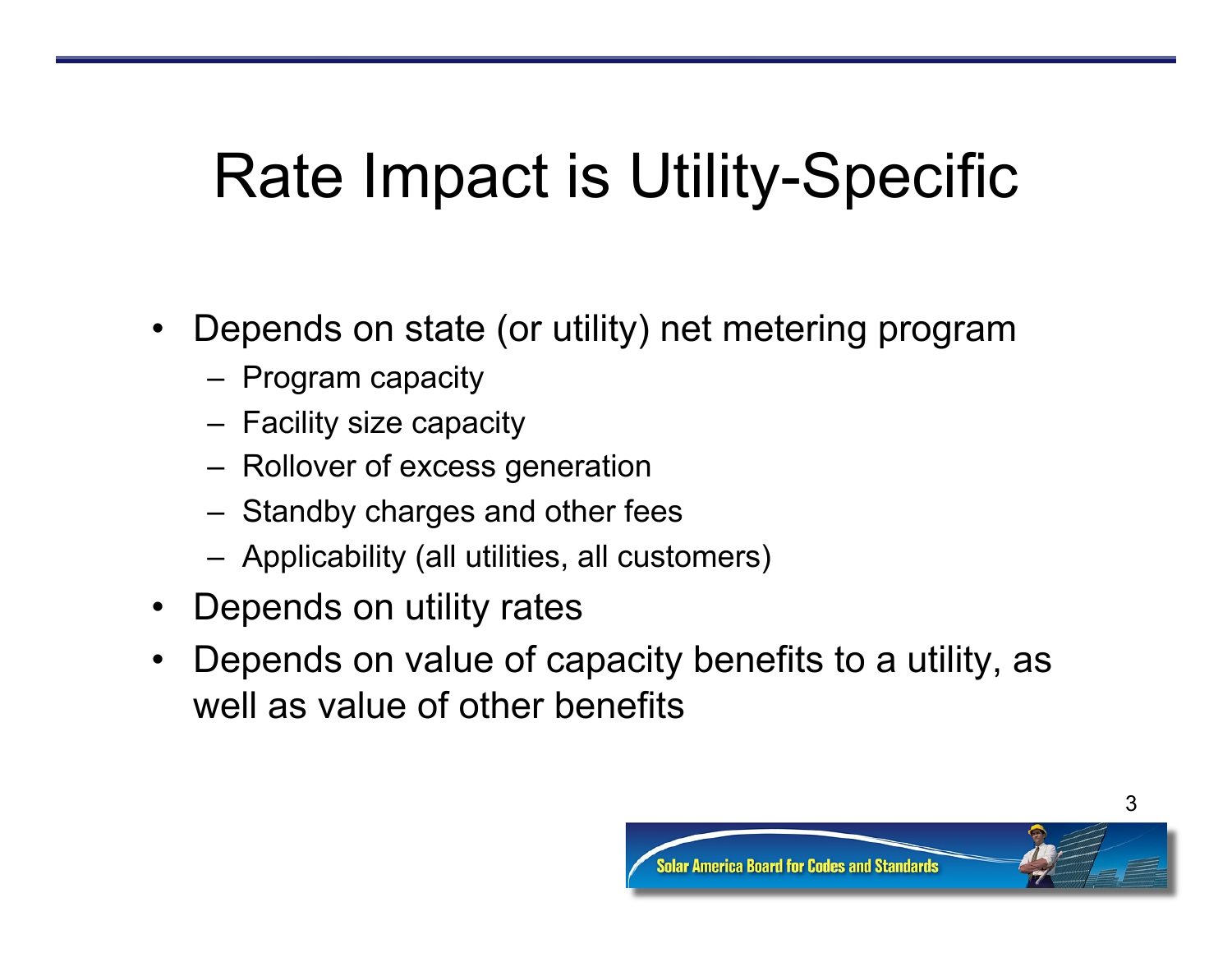## Rate Impact is Utility-Specific

- Depends on state (or utility) net metering program
	- Program capacity
	- Facility size capacity
	- Rollover of excess generation
	- Standby charges and other fees
	- Applicability (all utilities, all customers)
- Depends on utility rates
- Depends on value of capacity benefits to a utility, as well as value of other benefits

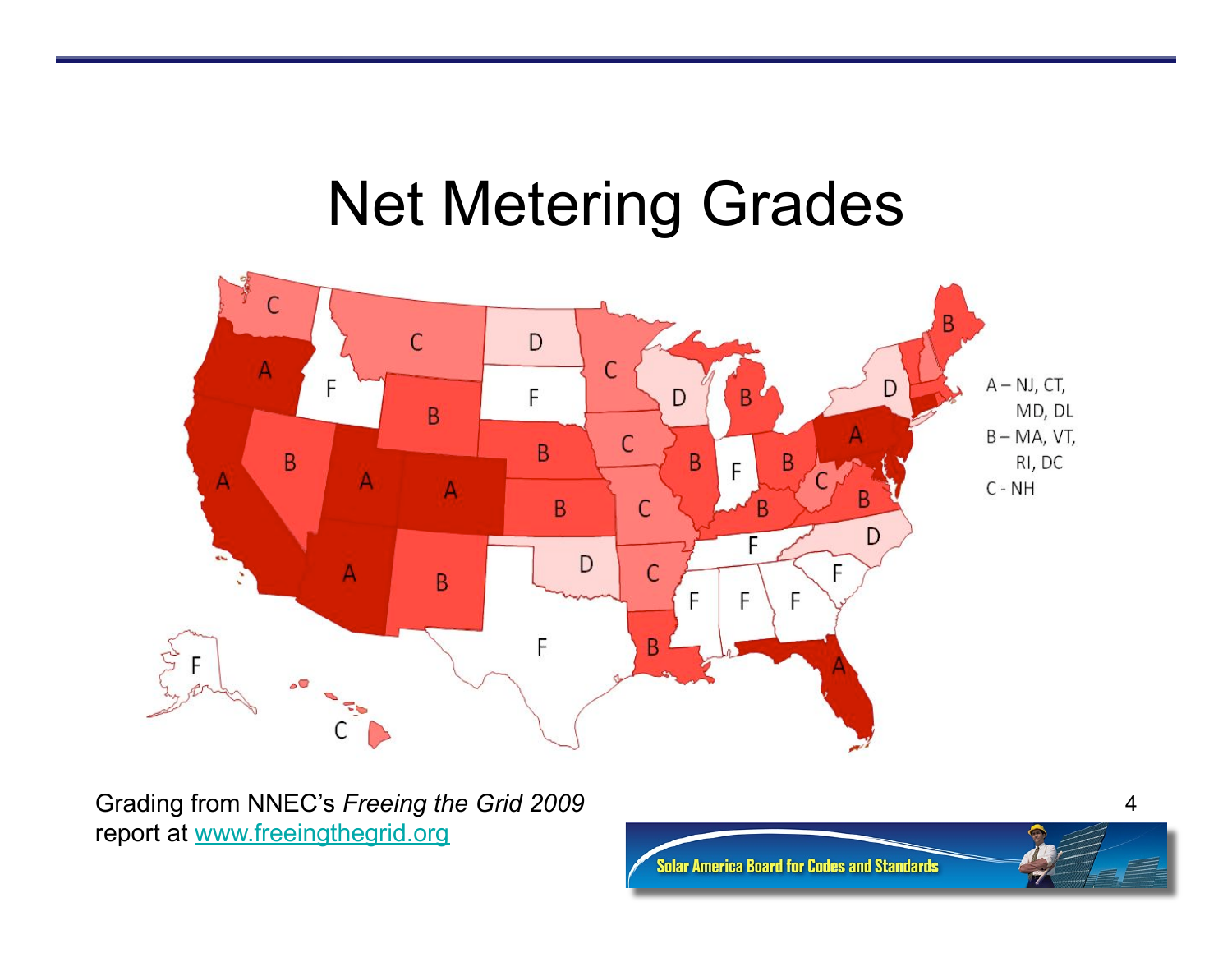#### Net Metering Grades



Grading from NNEC's *Freeing the Grid 2009*  report at www.freeingthegrid.org



4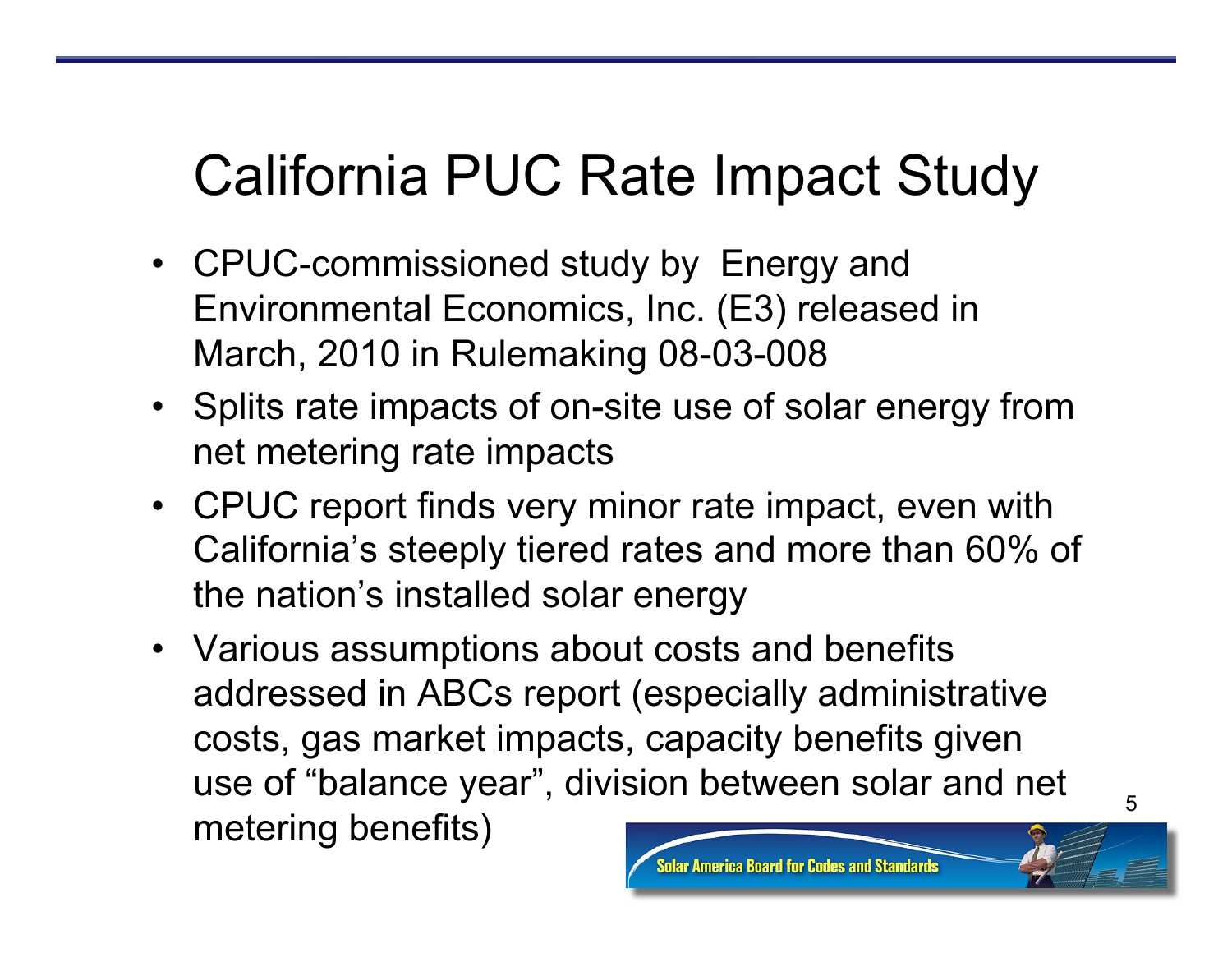#### California PUC Rate Impact Study

- CPUC-commissioned study by Energy and Environmental Economics, Inc. (E3) released in March, 2010 in Rulemaking 08-03-008
- Splits rate impacts of on-site use of solar energy from net metering rate impacts
- CPUC report finds very minor rate impact, even with California's steeply tiered rates and more than 60% of the nation's installed solar energy
- Various assumptions about costs and benefits addressed in ABCs report (especially administrative costs, gas market impacts, capacity benefits given use of "balance year", division between solar and net metering benefits)

erica Board for Codes and Standards

5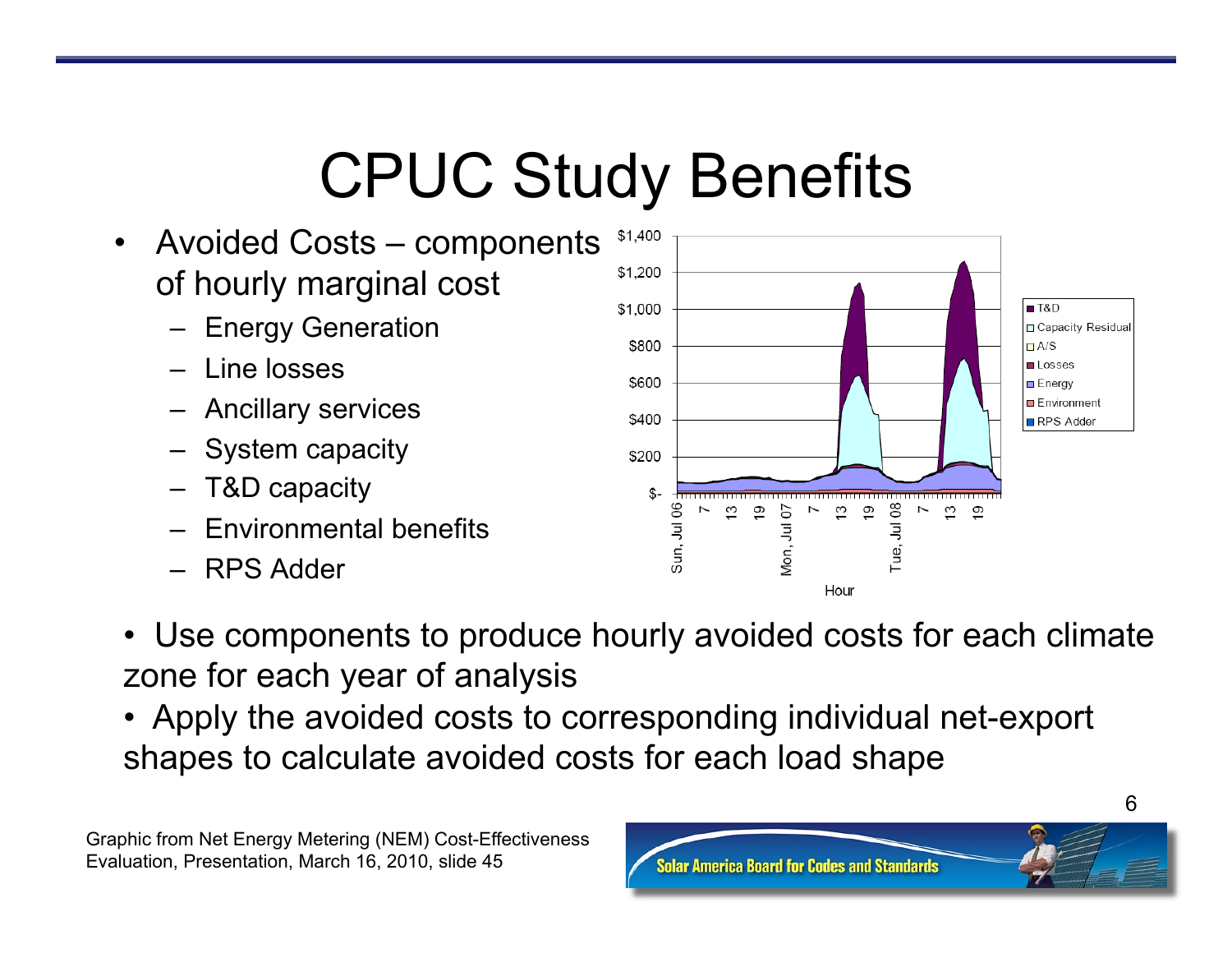## CPUC Study Benefits

- Avoided Costs components of hourly marginal cost
	- Energy Generation
	- Line losses
	- Ancillary services
	- System capacity
	- T&D capacity
	- Environmental benefits
	- RPS Adder



- Use components to produce hourly avoided costs for each climate zone for each year of analysis
- Apply the avoided costs to corresponding individual net-export shapes to calculate avoided costs for each load shape

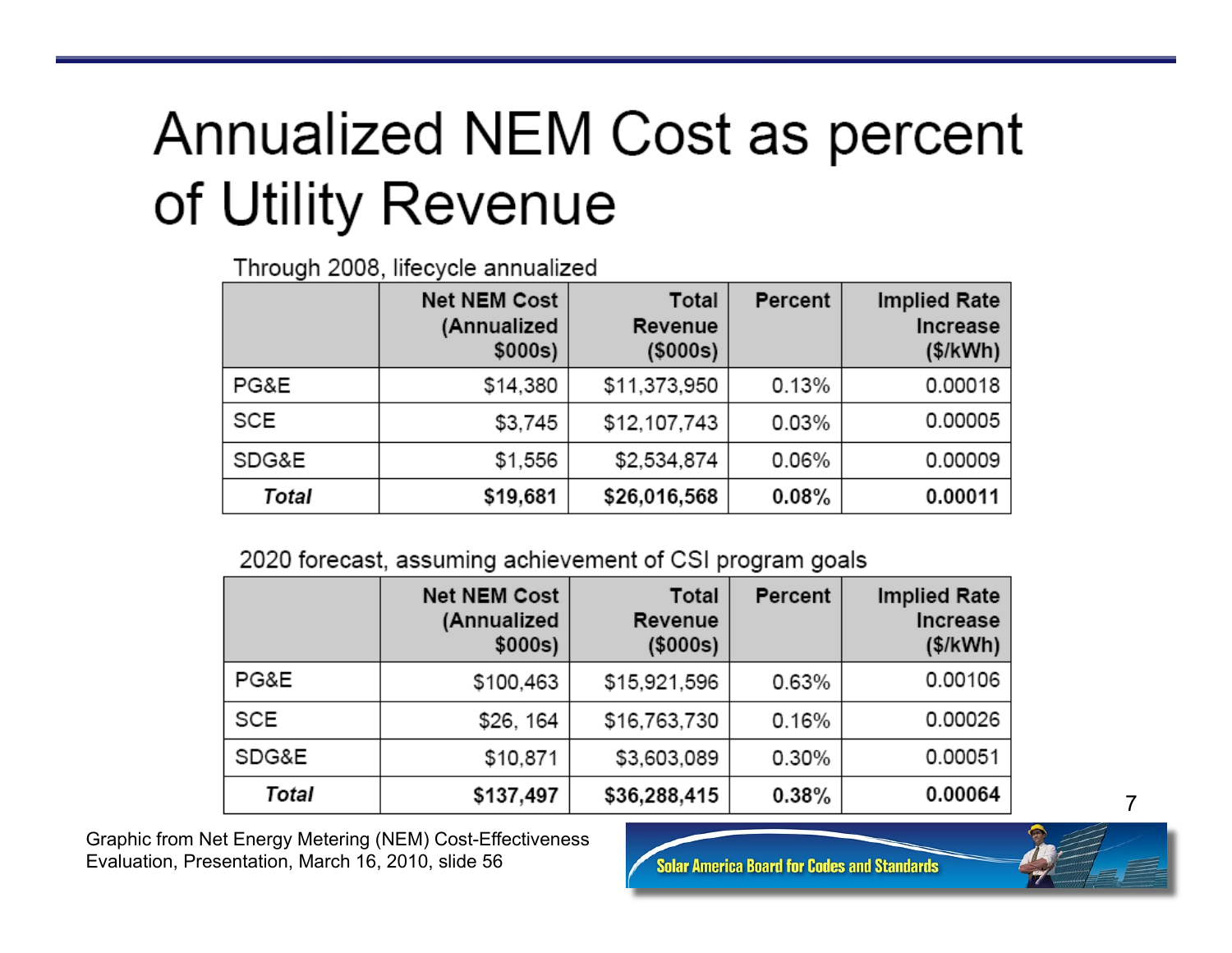## Annualized NEM Cost as percent of Utility Revenue

Through 2008, lifecycle annualized

|            | <b>Net NEM Cost</b><br>(Annualized<br>\$000s) | Total<br>Revenue<br>$($ \$000s $)$ | Percent  | <b>Implied Rate</b><br>Increase<br>(\$/kWh) |
|------------|-----------------------------------------------|------------------------------------|----------|---------------------------------------------|
| PG&E       | \$14,380                                      | \$11,373,950                       | 0.13%    | 0.00018                                     |
| <b>SCE</b> | \$3,745                                       | \$12,107,743                       | 0.03%    | 0.00005                                     |
| SDG&E      | \$1,556                                       | \$2,534,874                        | 0.06%    | 0.00009                                     |
| Total      | \$19,681                                      | \$26,016,568                       | $0.08\%$ | 0.00011                                     |

#### 2020 forecast, assuming achievement of CSI program goals

|            | <b>Net NEM Cost</b><br>(Annualized<br>\$000s) | Total<br>Revenue<br>(\$000s) | Percent  | <b>Implied Rate</b><br>Increase<br>(\$/kWh) |
|------------|-----------------------------------------------|------------------------------|----------|---------------------------------------------|
| PG&E       | \$100,463                                     | \$15,921,596                 | 0.63%    | 0.00106                                     |
| <b>SCE</b> | \$26, 164                                     | \$16,763,730                 | 0.16%    | 0.00026                                     |
| SDG&E      | \$10,871                                      | \$3,603,089                  | 0.30%    | 0.00051                                     |
| Total      | \$137,497                                     | \$36,288,415                 | $0.38\%$ | 0.00064                                     |

Graphic from Net Energy Metering (NEM) Cost-Effectiveness Evaluation, Presentation, March 16, 2010, slide 56

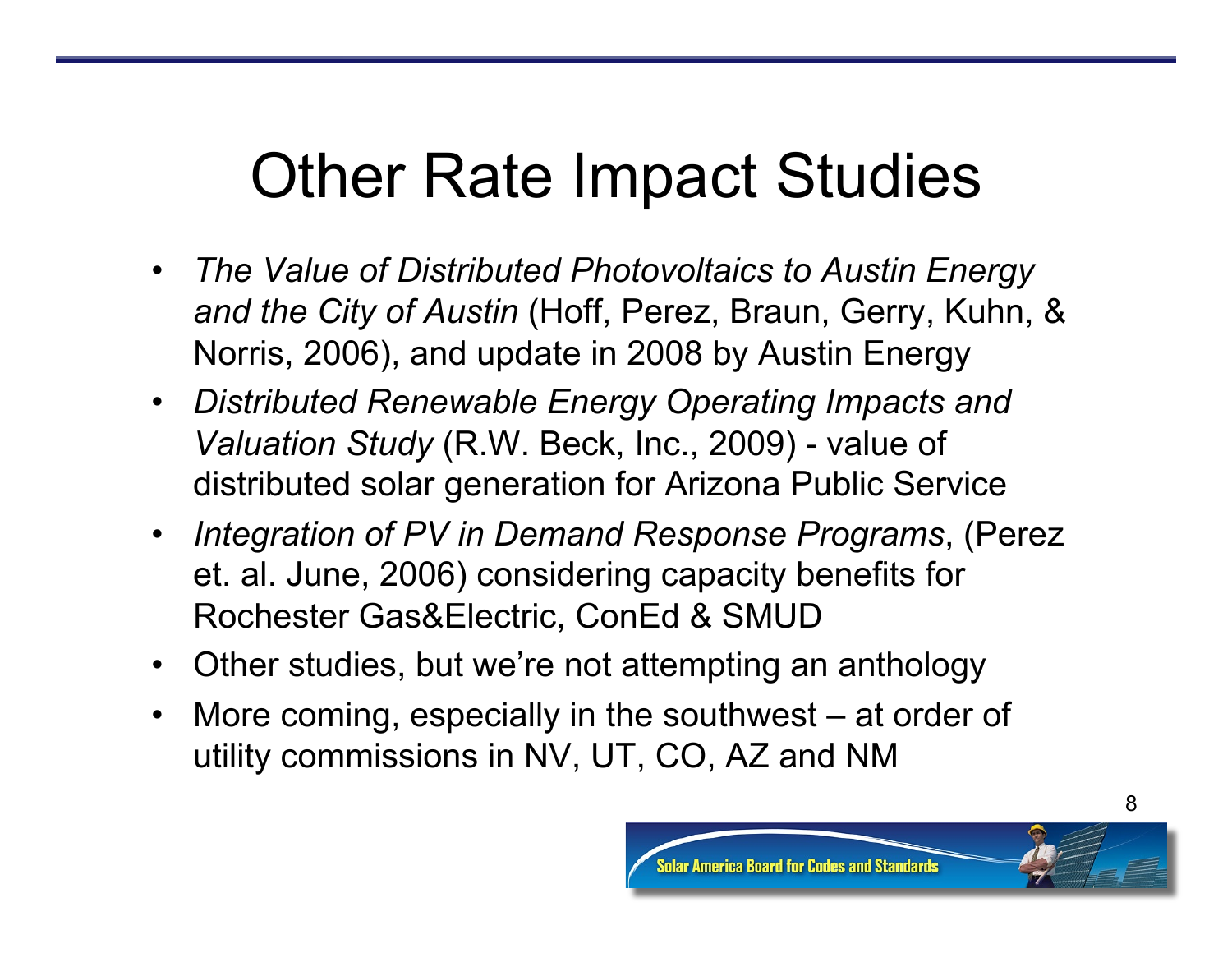## Other Rate Impact Studies

- *The Value of Distributed Photovoltaics to Austin Energy and the City of Austin* (Hoff, Perez, Braun, Gerry, Kuhn, & Norris, 2006), and update in 2008 by Austin Energy
- *Distributed Renewable Energy Operating Impacts and Valuation Study* (R.W. Beck, Inc., 2009) - value of distributed solar generation for Arizona Public Service
- *Integration of PV in Demand Response Programs*, (Perez et. al. June, 2006) considering capacity benefits for Rochester Gas&Electric, ConEd & SMUD
- Other studies, but we're not attempting an anthology
- More coming, especially in the southwest at order of utility commissions in NV, UT, CO, AZ and NM